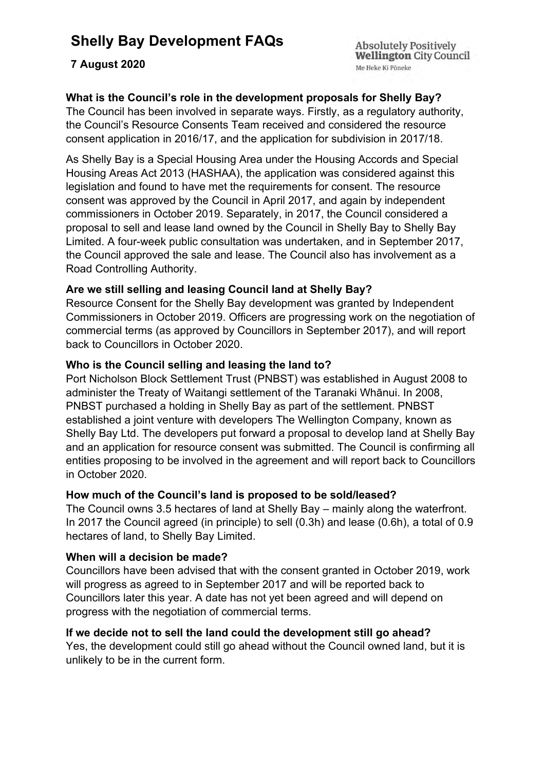# **Shelly Bay Development FAQs**

## **7 August 2020**

**Absolutely Positively Wellington City Council** Me Heke Ki Pôneke

# **What is the Council's role in the development proposals for Shelly Bay?**

The Council has been involved in separate ways. Firstly, as a regulatory authority, the Council's Resource Consents Team received and considered the resource consent application in 2016/17, and the application for subdivision in 2017/18.

As Shelly Bay is a Special Housing Area under the Housing Accords and Special Housing Areas Act 2013 (HASHAA), the application was considered against this legislation and found to have met the requirements for consent. The resource consent was approved by the Council in April 2017, and again by independent commissioners in October 2019. Separately, in 2017, the Council considered a proposal to sell and lease land owned by the Council in Shelly Bay to Shelly Bay Limited. A four-week public consultation was undertaken, and in September 2017, the Council approved the sale and lease. The Council also has involvement as a Road Controlling Authority.

### **Are we still selling and leasing Council land at Shelly Bay?**

Resource Consent for the Shelly Bay development was granted by Independent Commissioners in October 2019. Officers are progressing work on the negotiation of commercial terms (as approved by Councillors in September 2017), and will report back to Councillors in October 2020.

#### **Who is the Council selling and leasing the land to?**

Port Nicholson Block Settlement Trust (PNBST) was established in August 2008 to administer the Treaty of Waitangi settlement of the Taranaki Whānui. In 2008, PNBST purchased a holding in Shelly Bay as part of the settlement. PNBST established a joint venture with developers The Wellington Company, known as Shelly Bay Ltd. The developers put forward a proposal to develop land at Shelly Bay and an application for resource consent was submitted. The Council is confirming all entities proposing to be involved in the agreement and will report back to Councillors in October 2020.

#### **How much of the Council's land is proposed to be sold/leased?**

The Council owns 3.5 hectares of land at Shelly Bay – mainly along the waterfront. In 2017 the Council agreed (in principle) to sell (0.3h) and lease (0.6h), a total of 0.9 hectares of land, to Shelly Bay Limited.

### **When will a decision be made?**

Councillors have been advised that with the consent granted in October 2019, work will progress as agreed to in September 2017 and will be reported back to Councillors later this year. A date has not yet been agreed and will depend on progress with the negotiation of commercial terms.

#### **If we decide not to sell the land could the development still go ahead?**

Yes, the development could still go ahead without the Council owned land, but it is unlikely to be in the current form.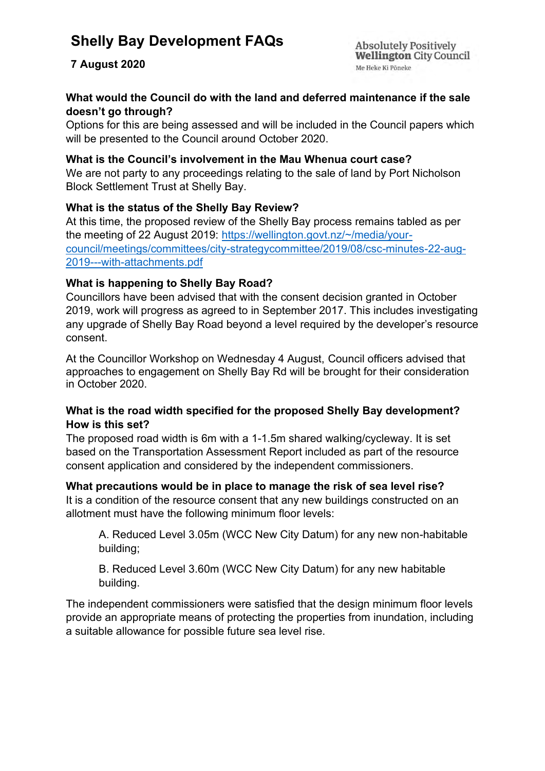# **Shelly Bay Development FAQs**

# **7 August 2020**

**Absolutely Positively Wellington City Council** Me Heke Ki Pôneke

### **What would the Council do with the land and deferred maintenance if the sale doesn't go through?**

Options for this are being assessed and will be included in the Council papers which will be presented to the Council around October 2020.

#### **What is the Council's involvement in the Mau Whenua court case?**

We are not party to any proceedings relating to the sale of land by Port Nicholson Block Settlement Trust at Shelly Bay.

### **What is the status of the Shelly Bay Review?**

At this time, the proposed review of the Shelly Bay process remains tabled as per the meeting of 22 August 2019: [https://wellington.govt.nz/~/media/your](https://wellington.govt.nz/~/media/your-council/meetings/committees/city-strategycommittee/2019/08/csc-minutes-22-aug-2019---with-attachments.pdf)[council/meetings/committees/city-strategycommittee/2019/08/csc-minutes-22-aug-](https://wellington.govt.nz/~/media/your-council/meetings/committees/city-strategycommittee/2019/08/csc-minutes-22-aug-2019---with-attachments.pdf)[2019---with-attachments.pdf](https://wellington.govt.nz/~/media/your-council/meetings/committees/city-strategycommittee/2019/08/csc-minutes-22-aug-2019---with-attachments.pdf)

## **What is happening to Shelly Bay Road?**

Councillors have been advised that with the consent decision granted in October 2019, work will progress as agreed to in September 2017. This includes investigating any upgrade of Shelly Bay Road beyond a level required by the developer's resource consent.

At the Councillor Workshop on Wednesday 4 August, Council officers advised that approaches to engagement on Shelly Bay Rd will be brought for their consideration in October 2020.

### **What is the road width specified for the proposed Shelly Bay development? How is this set?**

The proposed road width is 6m with a 1-1.5m shared walking/cycleway. It is set based on the Transportation Assessment Report included as part of the resource consent application and considered by the independent commissioners.

#### **What precautions would be in place to manage the risk of sea level rise?**

It is a condition of the resource consent that any new buildings constructed on an allotment must have the following minimum floor levels:

A. Reduced Level 3.05m (WCC New City Datum) for any new non-habitable building;

B. Reduced Level 3.60m (WCC New City Datum) for any new habitable building.

The independent commissioners were satisfied that the design minimum floor levels provide an appropriate means of protecting the properties from inundation, including a suitable allowance for possible future sea level rise.